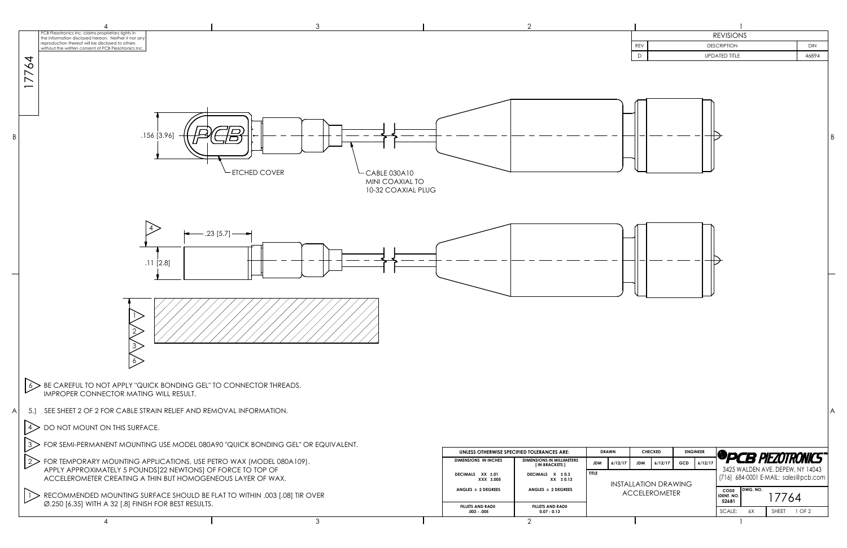|                                   |                                                                                                                                            | 3                                |                                                          |                                                         |                                                                                            |                                       |                                                                              |                                                    |                                                                         |
|-----------------------------------|--------------------------------------------------------------------------------------------------------------------------------------------|----------------------------------|----------------------------------------------------------|---------------------------------------------------------|--------------------------------------------------------------------------------------------|---------------------------------------|------------------------------------------------------------------------------|----------------------------------------------------|-------------------------------------------------------------------------|
|                                   | 'CB Piezotronics Inc. claims proprietary rights in<br>the information disclosed hereon. Neither it nor any                                 |                                  |                                                          |                                                         |                                                                                            |                                       |                                                                              | <b>REVISIONS</b>                                   |                                                                         |
|                                   | reproduction thereof will be disclosed to others<br>without the written consent of PCB Piezotronics Inc.                                   |                                  |                                                          |                                                         |                                                                                            |                                       | REV                                                                          | <b>DESCRIPTION</b>                                 | <b>DIN</b>                                                              |
| $\overline{6}$<br>$7\overline{7}$ | .156 [3.96]                                                                                                                                | $\overline{B}$<br>- ETCHED COVER | $-CABLE 030A10$<br>MINI COAXIAL TO<br>10-32 COAXIAL PLUG |                                                         |                                                                                            |                                       | $\bigcap$                                                                    | <b>UPDATED TITLE</b>                               | 46894                                                                   |
|                                   | $\overline{4}$<br>$.11$ [2.8]                                                                                                              | $-.23$ [5.7] $-$                 |                                                          |                                                         |                                                                                            |                                       |                                                                              |                                                    |                                                                         |
|                                   | $\delta$ BE CAREFUL TO NOT APPLY "QUICK BONDING GEL" TO CONNECTOR THREADS,<br>IMPROPER CONNECTOR MATING WILL RESULT.                       |                                  |                                                          |                                                         |                                                                                            |                                       |                                                                              |                                                    |                                                                         |
| 5.                                | SEE SHEET 2 OF 2 FOR CABLE STRAIN RELIEF AND REMOVAL INFORMATION.                                                                          |                                  |                                                          |                                                         |                                                                                            |                                       |                                                                              |                                                    |                                                                         |
|                                   | $\ket{4}$ DO NOT MOUNT ON THIS SURFACE.                                                                                                    |                                  |                                                          |                                                         |                                                                                            |                                       |                                                                              |                                                    |                                                                         |
| 3>                                | FOR SEMI-PERMANENT MOUNTING USE MODEL 080A90 "QUICK BONDING GEL" OR EQUIVALENT.                                                            |                                  |                                                          |                                                         |                                                                                            |                                       |                                                                              |                                                    |                                                                         |
| $ 2\rangle$                       | $\cdot$ FOR TEMPORARY MOUNTING APPLICATIONS, USE PETRO WAX (MODEL 080A109).<br>APPLY APPROXIMATELY 5 POUNDS[22 NEWTONS] OF FORCE TO TOP OF |                                  |                                                          | <b>DIMENSIONS IN INCHES</b>                             | UNLESS OTHERWISE SPECIFIED TOLERANCES ARE:<br>DIMENSIONS IN MILLIMETERS<br>[ IN BRACKETS ] | <b>DRAWN</b><br>6/12/17<br><b>JDM</b> | <b>CHECKED</b><br><b>ENGINEER</b><br>GCD<br>6/12/17<br><b>JDM</b><br>6/12/17 |                                                    | <b><sup>@</sup>PCB PIEZOTRONICS</b><br>3425 WALDEN AVE. DEPEW, NY 14043 |
|                                   | ACCELEROMETER CREATING A THIN BUT HOMOGENEOUS LAYER OF WAX.                                                                                |                                  |                                                          | DECIMALS XX ±.01<br>XXX ±.005<br>ANGLES $\pm$ 2 DEGREES | DECIMALS X ± 0.3<br>$XX \pm 0.13$<br>ANGLES $\pm$ 2 DEGREES                                | <b>TITLE</b>                          | <b>INSTALLATION DRAWING</b>                                                  | DWG. NO.                                           | (716) 684-0001 E-MAIL: sales@pcb.com                                    |
|                                   | RECOMMENDED MOUNTING SURFACE SHOULD BE FLAT TO WITHIN .003 [.08] TIR OVER<br>Ø.250 [6.35] WITH A 32 [.8] FINISH FOR BEST RESULTS.          |                                  |                                                          | <b>FILLETS AND RADII</b><br>$.003 - .005$               | <b>FILLETS AND RADII</b><br>$0.07 - 0.13$                                                  |                                       | <b>ACCELEROMETER</b>                                                         | <b>CODE</b><br>IDENT. NO.<br>52681<br>SCALE:<br>6X | 17764<br>SHEET 1 OF 2                                                   |
|                                   | $\boldsymbol{\varDelta}$                                                                                                                   | $\mathcal{S}$                    |                                                          |                                                         | $\mathcal{P}$                                                                              |                                       |                                                                              |                                                    |                                                                         |